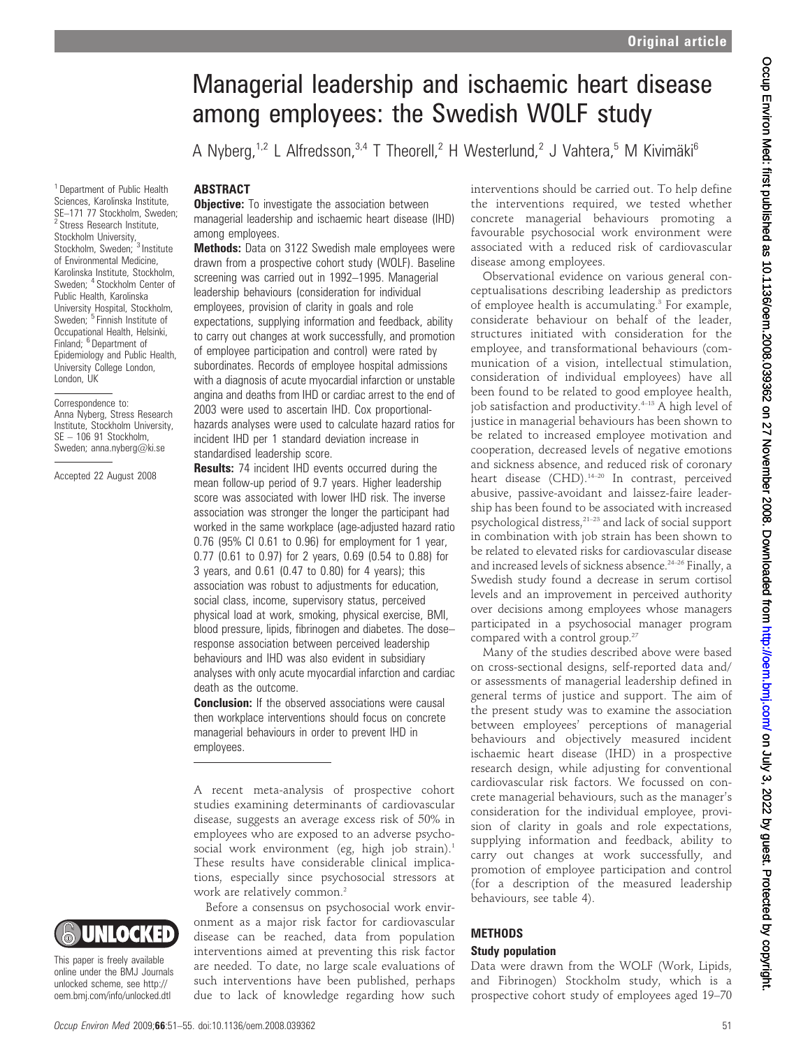# Managerial leadership and ischaemic heart disease among employees: the Swedish WOLF study

A Nyberg,<sup>1,2</sup> L Alfredsson,<sup>3,4</sup> T Theorell,<sup>2</sup> H Westerlund,<sup>2</sup> J Vahtera,<sup>5</sup> M Kivimäki<sup>6</sup>

### ABSTRACT

**Objective:** To investigate the association between managerial leadership and ischaemic heart disease (IHD) among employees.

**Methods:** Data on 3122 Swedish male employees were drawn from a prospective cohort study (WOLF). Baseline screening was carried out in 1992–1995. Managerial leadership behaviours (consideration for individual employees, provision of clarity in goals and role expectations, supplying information and feedback, ability to carry out changes at work successfully, and promotion of employee participation and control) were rated by subordinates. Records of employee hospital admissions with a diagnosis of acute myocardial infarction or unstable angina and deaths from IHD or cardiac arrest to the end of 2003 were used to ascertain IHD. Cox proportionalhazards analyses were used to calculate hazard ratios for incident IHD per 1 standard deviation increase in standardised leadership score.

**Results:** 74 incident IHD events occurred during the mean follow-up period of 9.7 years. Higher leadership score was associated with lower IHD risk. The inverse association was stronger the longer the participant had worked in the same workplace (age-adjusted hazard ratio 0.76 (95% CI 0.61 to 0.96) for employment for 1 year, 0.77 (0.61 to 0.97) for 2 years, 0.69 (0.54 to 0.88) for 3 years, and 0.61 (0.47 to 0.80) for 4 years); this association was robust to adjustments for education, social class, income, supervisory status, perceived physical load at work, smoking, physical exercise, BMI, blood pressure, lipids, fibrinogen and diabetes. The dose– response association between perceived leadership behaviours and IHD was also evident in subsidiary analyses with only acute myocardial infarction and cardiac death as the outcome.

**Conclusion:** If the observed associations were causal then workplace interventions should focus on concrete managerial behaviours in order to prevent IHD in employees.

A recent meta-analysis of prospective cohort studies examining determinants of cardiovascular disease, suggests an average excess risk of 50% in employees who are exposed to an adverse psychosocial work environment (eg, high job strain).<sup>1</sup> These results have considerable clinical implications, especially since psychosocial stressors at work are relatively common.<sup>2</sup>

Before a consensus on psychosocial work environment as a major risk factor for cardiovascular disease can be reached, data from population interventions aimed at preventing this risk factor are needed. To date, no large scale evaluations of such interventions have been published, perhaps due to lack of knowledge regarding how such

interventions should be carried out. To help define the interventions required, we tested whether concrete managerial behaviours promoting a favourable psychosocial work environment were associated with a reduced risk of cardiovascular disease among employees.

Observational evidence on various general conceptualisations describing leadership as predictors of employee health is accumulating.3 For example, considerate behaviour on behalf of the leader, structures initiated with consideration for the employee, and transformational behaviours (communication of a vision, intellectual stimulation, consideration of individual employees) have all been found to be related to good employee health, job satisfaction and productivity.<sup>4-13</sup> A high level of justice in managerial behaviours has been shown to be related to increased employee motivation and cooperation, decreased levels of negative emotions and sickness absence, and reduced risk of coronary heart disease (CHD).<sup>14-20</sup> In contrast, perceived abusive, passive-avoidant and laissez-faire leadership has been found to be associated with increased psychological distress,21–23 and lack of social support in combination with job strain has been shown to be related to elevated risks for cardiovascular disease and increased levels of sickness absence.<sup>24-26</sup> Finally, a Swedish study found a decrease in serum cortisol levels and an improvement in perceived authority over decisions among employees whose managers participated in a psychosocial manager program compared with a control group.<sup>27</sup>

Many of the studies described above were based on cross-sectional designs, self-reported data and/ or assessments of managerial leadership defined in general terms of justice and support. The aim of the present study was to examine the association between employees' perceptions of managerial behaviours and objectively measured incident ischaemic heart disease (IHD) in a prospective research design, while adjusting for conventional cardiovascular risk factors. We focussed on concrete managerial behaviours, such as the manager's consideration for the individual employee, provision of clarity in goals and role expectations, supplying information and feedback, ability to carry out changes at work successfully, and promotion of employee participation and control (for a description of the measured leadership behaviours, see table 4).

# **METHODS**

### Study population

Data were drawn from the WOLF (Work, Lipids, and Fibrinogen) Stockholm study, which is a prospective cohort study of employees aged 19–70

<sup>1</sup> Department of Public Health Sciences, Karolinska Institute, SE–171 77 Stockholm, Sweden; <sup>2</sup> Stress Research Institute, Stockholm University, Stockholm, Sweden: <sup>3</sup> Institute of Environmental Medicine, Karolinska Institute, Stockholm, Sweden; <sup>4</sup> Stockholm Center of Public Health, Karolinska University Hospital, Stockholm, Sweden; <sup>5</sup> Finnish Institute of Occupational Health, Helsinki, Finland; <sup>6</sup> Department of Epidemiology and Public Health, University College London, London, UK

Correspondence to: Anna Nyberg, Stress Research Institute, Stockholm University, SE – 106 91 Stockholm, Sweden; anna.nyberg@ki.se

Accepted 22 August 2008



This paper is freely available online under the BMJ Journals unlocked scheme, see http:// oem.bmj.com/info/unlocked.dtl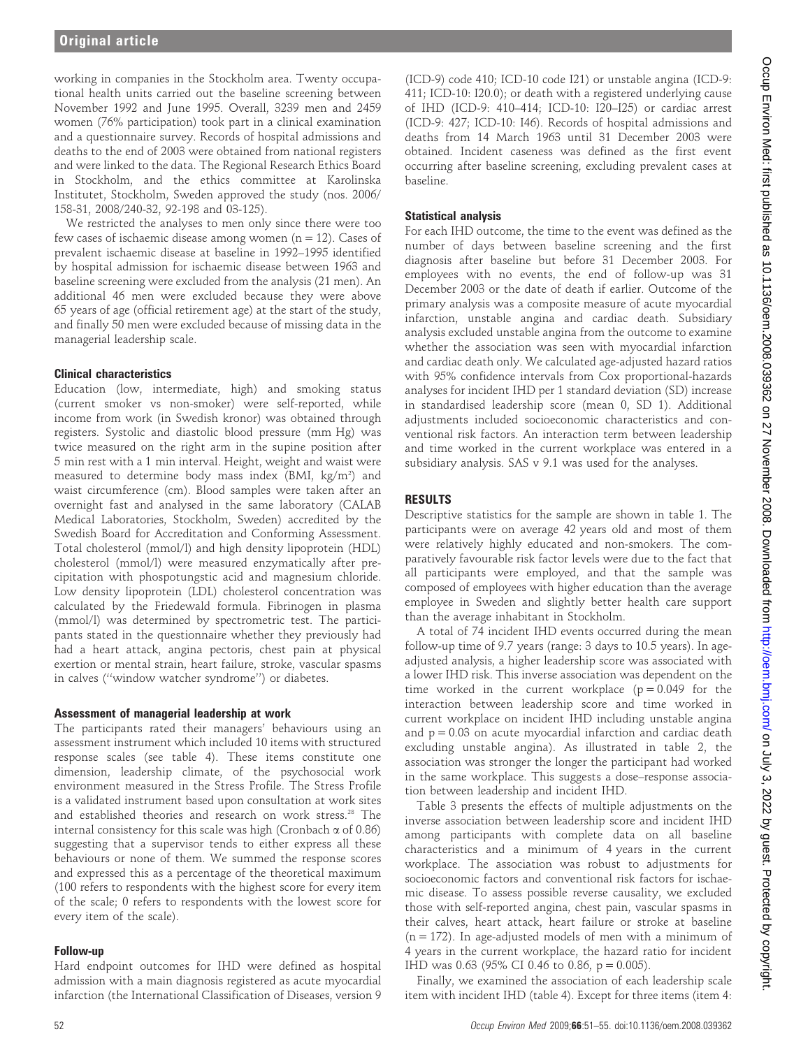working in companies in the Stockholm area. Twenty occupational health units carried out the baseline screening between November 1992 and June 1995. Overall, 3239 men and 2459 women (76% participation) took part in a clinical examination and a questionnaire survey. Records of hospital admissions and deaths to the end of 2003 were obtained from national registers and were linked to the data. The Regional Research Ethics Board in Stockholm, and the ethics committee at Karolinska Institutet, Stockholm, Sweden approved the study (nos. 2006/ 158-31, 2008/240-32, 92-198 and 03-125).

We restricted the analyses to men only since there were too few cases of ischaemic disease among women  $(n = 12)$ . Cases of prevalent ischaemic disease at baseline in 1992–1995 identified by hospital admission for ischaemic disease between 1963 and baseline screening were excluded from the analysis (21 men). An additional 46 men were excluded because they were above 65 years of age (official retirement age) at the start of the study, and finally 50 men were excluded because of missing data in the managerial leadership scale.

# Clinical characteristics

Education (low, intermediate, high) and smoking status (current smoker vs non-smoker) were self-reported, while income from work (in Swedish kronor) was obtained through registers. Systolic and diastolic blood pressure (mm Hg) was twice measured on the right arm in the supine position after 5 min rest with a 1 min interval. Height, weight and waist were measured to determine body mass index (BMI, kg/m²) and waist circumference (cm). Blood samples were taken after an overnight fast and analysed in the same laboratory (CALAB Medical Laboratories, Stockholm, Sweden) accredited by the Swedish Board for Accreditation and Conforming Assessment. Total cholesterol (mmol/l) and high density lipoprotein (HDL) cholesterol (mmol/l) were measured enzymatically after precipitation with phospotungstic acid and magnesium chloride. Low density lipoprotein (LDL) cholesterol concentration was calculated by the Friedewald formula. Fibrinogen in plasma (mmol/l) was determined by spectrometric test. The participants stated in the questionnaire whether they previously had had a heart attack, angina pectoris, chest pain at physical exertion or mental strain, heart failure, stroke, vascular spasms in calves (''window watcher syndrome'') or diabetes.

# Assessment of managerial leadership at work

The participants rated their managers' behaviours using an assessment instrument which included 10 items with structured response scales (see table 4). These items constitute one dimension, leadership climate, of the psychosocial work environment measured in the Stress Profile. The Stress Profile is a validated instrument based upon consultation at work sites and established theories and research on work stress.<sup>28</sup> The internal consistency for this scale was high (Cronbach  $\alpha$  of 0.86) suggesting that a supervisor tends to either express all these behaviours or none of them. We summed the response scores and expressed this as a percentage of the theoretical maximum (100 refers to respondents with the highest score for every item of the scale; 0 refers to respondents with the lowest score for every item of the scale).

# Follow-up

Hard endpoint outcomes for IHD were defined as hospital admission with a main diagnosis registered as acute myocardial infarction (the International Classification of Diseases, version 9

(ICD-9) code 410; ICD-10 code I21) or unstable angina (ICD-9: 411; ICD-10: I20.0); or death with a registered underlying cause of IHD (ICD-9: 410–414; ICD-10: I20–I25) or cardiac arrest (ICD-9: 427; ICD-10: I46). Records of hospital admissions and deaths from 14 March 1963 until 31 December 2003 were obtained. Incident caseness was defined as the first event occurring after baseline screening, excluding prevalent cases at baseline.

# Statistical analysis

For each IHD outcome, the time to the event was defined as the number of days between baseline screening and the first diagnosis after baseline but before 31 December 2003. For employees with no events, the end of follow-up was 31 December 2003 or the date of death if earlier. Outcome of the primary analysis was a composite measure of acute myocardial infarction, unstable angina and cardiac death. Subsidiary analysis excluded unstable angina from the outcome to examine whether the association was seen with myocardial infarction and cardiac death only. We calculated age-adjusted hazard ratios with 95% confidence intervals from Cox proportional-hazards analyses for incident IHD per 1 standard deviation (SD) increase in standardised leadership score (mean 0, SD 1). Additional adjustments included socioeconomic characteristics and conventional risk factors. An interaction term between leadership and time worked in the current workplace was entered in a subsidiary analysis. SAS v 9.1 was used for the analyses.

# RESULTS

Descriptive statistics for the sample are shown in table 1. The participants were on average 42 years old and most of them were relatively highly educated and non-smokers. The comparatively favourable risk factor levels were due to the fact that all participants were employed, and that the sample was composed of employees with higher education than the average employee in Sweden and slightly better health care support than the average inhabitant in Stockholm.

A total of 74 incident IHD events occurred during the mean follow-up time of 9.7 years (range: 3 days to 10.5 years). In ageadjusted analysis, a higher leadership score was associated with a lower IHD risk. This inverse association was dependent on the time worked in the current workplace  $(p = 0.049)$  for the interaction between leadership score and time worked in current workplace on incident IHD including unstable angina and  $p = 0.03$  on acute myocardial infarction and cardiac death excluding unstable angina). As illustrated in table 2, the association was stronger the longer the participant had worked in the same workplace. This suggests a dose–response association between leadership and incident IHD.

Table 3 presents the effects of multiple adjustments on the inverse association between leadership score and incident IHD among participants with complete data on all baseline characteristics and a minimum of 4 years in the current workplace. The association was robust to adjustments for socioeconomic factors and conventional risk factors for ischaemic disease. To assess possible reverse causality, we excluded those with self-reported angina, chest pain, vascular spasms in their calves, heart attack, heart failure or stroke at baseline  $(n = 172)$ . In age-adjusted models of men with a minimum of 4 years in the current workplace, the hazard ratio for incident IHD was 0.63 (95% CI 0.46 to 0.86, p = 0.005).

Finally, we examined the association of each leadership scale item with incident IHD (table 4). Except for three items (item 4: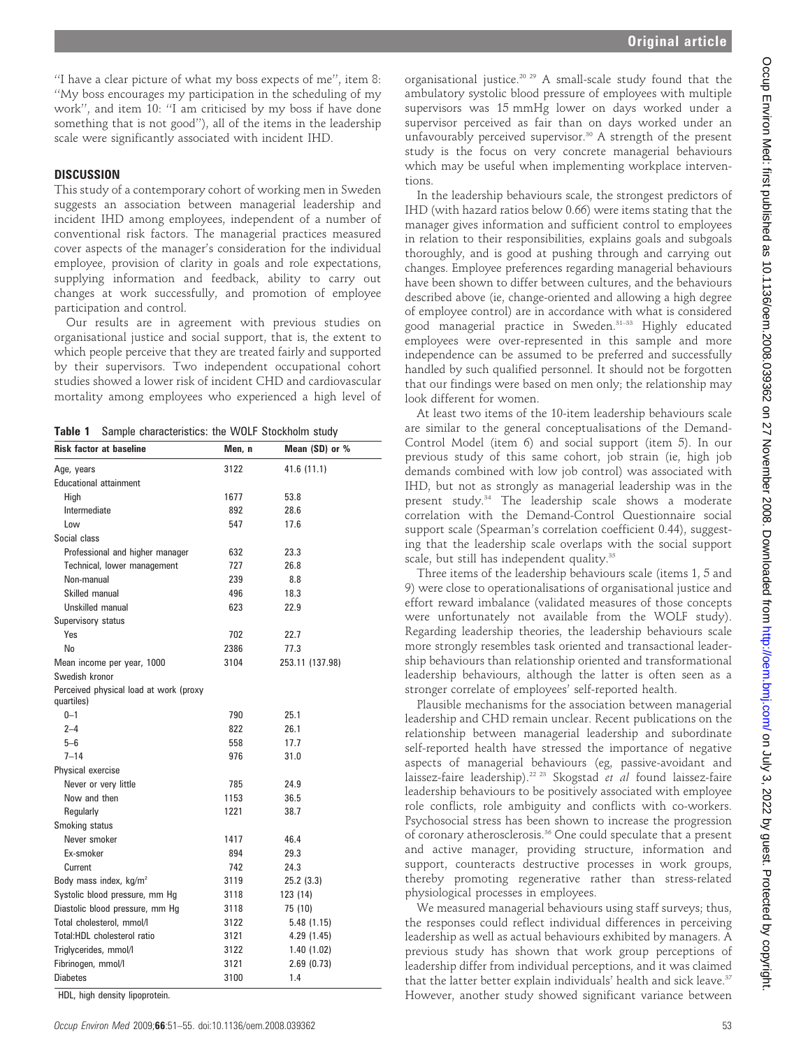''I have a clear picture of what my boss expects of me'', item 8: ''My boss encourages my participation in the scheduling of my work'', and item 10: ''I am criticised by my boss if have done something that is not good''), all of the items in the leadership scale were significantly associated with incident IHD.

### **DISCUSSION**

This study of a contemporary cohort of working men in Sweden suggests an association between managerial leadership and incident IHD among employees, independent of a number of conventional risk factors. The managerial practices measured cover aspects of the manager's consideration for the individual employee, provision of clarity in goals and role expectations, supplying information and feedback, ability to carry out changes at work successfully, and promotion of employee participation and control.

Our results are in agreement with previous studies on organisational justice and social support, that is, the extent to which people perceive that they are treated fairly and supported by their supervisors. Two independent occupational cohort studies showed a lower risk of incident CHD and cardiovascular mortality among employees who experienced a high level of

Table 1 Sample characteristics: the WOLF Stockholm study

| <b>Risk factor at baseline</b>                       | Men, n | Mean $(SD)$ or $%$ |
|------------------------------------------------------|--------|--------------------|
| Age, years                                           | 3122   | 41.6 (11.1)        |
| <b>Educational attainment</b>                        |        |                    |
| Hiah                                                 | 1677   | 53.8               |
| Intermediate                                         | 892    | 28.6               |
| Low                                                  | 547    | 17.6               |
| Social class                                         |        |                    |
| Professional and higher manager                      | 632    | 23.3               |
| Technical, lower management                          | 727    | 26.8               |
| Non-manual                                           | 239    | 8.8                |
| Skilled manual                                       | 496    | 18.3               |
| Unskilled manual                                     | 623    | 22.9               |
| Supervisory status                                   |        |                    |
| Yes                                                  | 702    | 22.7               |
| No                                                   | 2386   | 77.3               |
| Mean income per year, 1000                           | 3104   | 253.11 (137.98)    |
| Swedish kronor                                       |        |                    |
| Perceived physical load at work (proxy<br>quartiles) |        |                    |
| $0 - 1$                                              | 790    | 25.1               |
| $2 - 4$                                              | 822    | 26.1               |
| $5 - 6$                                              | 558    | 17.7               |
| $7 - 14$                                             | 976    | 31.0               |
| Physical exercise                                    |        |                    |
| Never or very little                                 | 785    | 24.9               |
| Now and then                                         | 1153   | 36.5               |
| Regularly                                            | 1221   | 38.7               |
| Smoking status                                       |        |                    |
| Never smoker                                         | 1417   | 46.4               |
| Ex-smoker                                            | 894    | 29.3               |
| Current                                              | 742    | 24.3               |
| Body mass index, kg/m <sup>2</sup>                   | 3119   | 25.2(3.3)          |
| Systolic blood pressure, mm Hg                       | 3118   | 123 (14)           |
| Diastolic blood pressure, mm Hg                      | 3118   | 75 (10)            |
| Total cholesterol, mmol/l                            | 3122   | 5.48 (1.15)        |
| Total:HDL cholesterol ratio                          | 3121   | 4.29 (1.45)        |
| Triglycerides, mmol/l                                | 3122   | 1.40 (1.02)        |
| Fibrinogen, mmol/l                                   | 3121   | 2.69(0.73)         |
| <b>Diabetes</b>                                      | 3100   | 1.4                |
|                                                      |        |                    |

HDL, high density lipoprotein.

organisational justice.20 29 A small-scale study found that the ambulatory systolic blood pressure of employees with multiple supervisors was 15 mmHg lower on days worked under a supervisor perceived as fair than on days worked under an unfavourably perceived supervisor.<sup>30</sup> A strength of the present study is the focus on very concrete managerial behaviours which may be useful when implementing workplace interventions.

In the leadership behaviours scale, the strongest predictors of IHD (with hazard ratios below 0.66) were items stating that the manager gives information and sufficient control to employees in relation to their responsibilities, explains goals and subgoals thoroughly, and is good at pushing through and carrying out changes. Employee preferences regarding managerial behaviours have been shown to differ between cultures, and the behaviours described above (ie, change-oriented and allowing a high degree of employee control) are in accordance with what is considered good managerial practice in Sweden.31–33 Highly educated employees were over-represented in this sample and more independence can be assumed to be preferred and successfully handled by such qualified personnel. It should not be forgotten that our findings were based on men only; the relationship may look different for women.

At least two items of the 10-item leadership behaviours scale are similar to the general conceptualisations of the Demand-Control Model (item 6) and social support (item 5). In our previous study of this same cohort, job strain (ie, high job demands combined with low job control) was associated with IHD, but not as strongly as managerial leadership was in the present study.<sup>34</sup> The leadership scale shows a moderate correlation with the Demand-Control Questionnaire social support scale (Spearman's correlation coefficient 0.44), suggesting that the leadership scale overlaps with the social support scale, but still has independent quality.<sup>35</sup>

Three items of the leadership behaviours scale (items 1, 5 and 9) were close to operationalisations of organisational justice and effort reward imbalance (validated measures of those concepts were unfortunately not available from the WOLF study). Regarding leadership theories, the leadership behaviours scale more strongly resembles task oriented and transactional leadership behaviours than relationship oriented and transformational leadership behaviours, although the latter is often seen as a stronger correlate of employees' self-reported health.

Plausible mechanisms for the association between managerial leadership and CHD remain unclear. Recent publications on the relationship between managerial leadership and subordinate self-reported health have stressed the importance of negative aspects of managerial behaviours (eg, passive-avoidant and laissez-faire leadership).<sup>22 23</sup> Skogstad et al found laissez-faire leadership behaviours to be positively associated with employee role conflicts, role ambiguity and conflicts with co-workers. Psychosocial stress has been shown to increase the progression of coronary atherosclerosis.36 One could speculate that a present and active manager, providing structure, information and support, counteracts destructive processes in work groups, thereby promoting regenerative rather than stress-related physiological processes in employees.

We measured managerial behaviours using staff surveys; thus, the responses could reflect individual differences in perceiving leadership as well as actual behaviours exhibited by managers. A previous study has shown that work group perceptions of leadership differ from individual perceptions, and it was claimed that the latter better explain individuals' health and sick leave.<sup>37</sup> However, another study showed significant variance between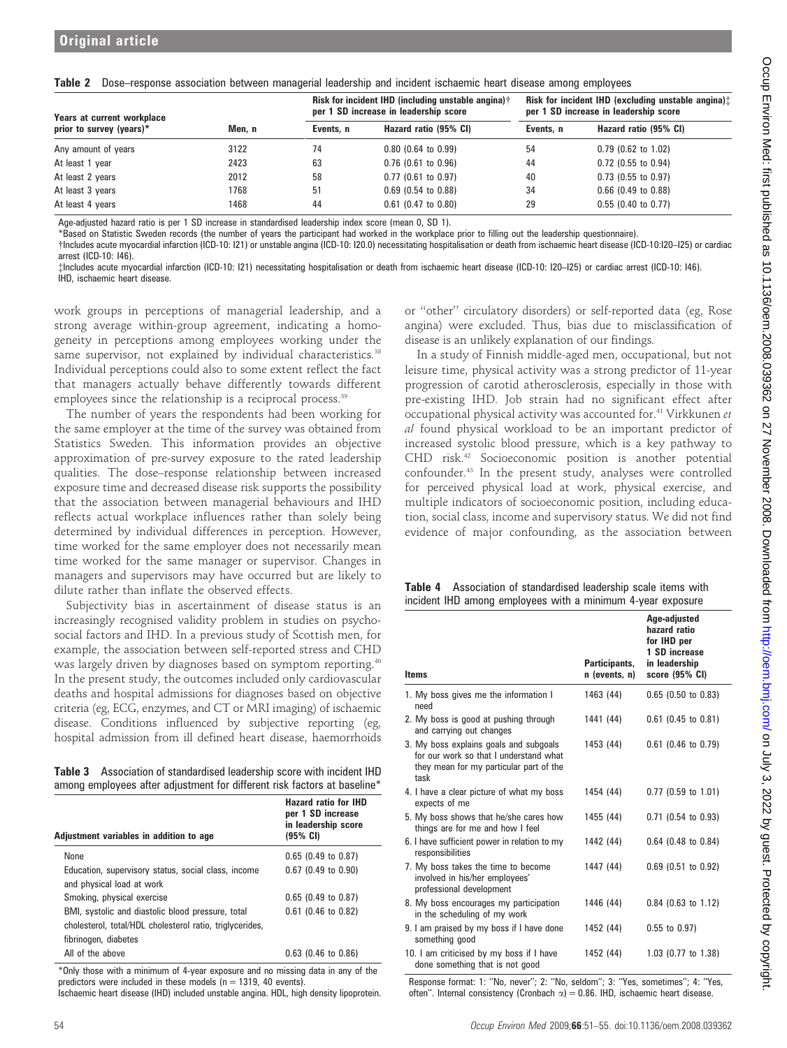|  | Table 2 Dose-response association between managerial leadership and incident ischaemic heart disease among employees |  |  |  |  |  |  |  |  |  |  |  |
|--|----------------------------------------------------------------------------------------------------------------------|--|--|--|--|--|--|--|--|--|--|--|
|--|----------------------------------------------------------------------------------------------------------------------|--|--|--|--|--|--|--|--|--|--|--|

| Years at current workplace |       |           | <b>Risk for incident IHD (including unstable angina)</b> †<br>per 1 SD increase in leadership score | Risk for incident IHD (excluding unstable angina):<br>per 1 SD increase in leadership score |                       |  |
|----------------------------|-------|-----------|-----------------------------------------------------------------------------------------------------|---------------------------------------------------------------------------------------------|-----------------------|--|
| prior to survey (years)*   | Men.n | Events, n | Hazard ratio (95% CI)                                                                               | Events, n                                                                                   | Hazard ratio (95% CI) |  |
| Any amount of years        | 3122  | 74        | $0.80$ (0.64 to 0.99)                                                                               | 54                                                                                          | $0.79$ (0.62 to 1.02) |  |
| At least 1 year            | 2423  | 63        | $0.76$ (0.61 to 0.96)                                                                               | 44                                                                                          | $0.72$ (0.55 to 0.94) |  |
| At least 2 years           | 2012  | 58        | $0.77$ (0.61 to 0.97)                                                                               | 40                                                                                          | $0.73$ (0.55 to 0.97) |  |
| At least 3 years           | 1768  | 51        | $0.69$ (0.54 to 0.88)                                                                               | 34                                                                                          | $0.66$ (0.49 to 0.88) |  |
| At least 4 years           | 1468  | 44        | $0.61$ (0.47 to 0.80)                                                                               | 29                                                                                          | $0.55$ (0.40 to 0.77) |  |

Age-adjusted hazard ratio is per 1 SD increase in standardised leadership index score (mean 0, SD 1).

\*Based on Statistic Sweden records (the number of years the participant had worked in the workplace prior to filling out the leadership questionnaire).

{Includes acute myocardial infarction (ICD-10: I21) or unstable angina (ICD-10: I20.0) necessitating hospitalisation or death from ischaemic heart disease (ICD-10:I20–I25) or cardiac arrest (ICD-10: I46).

{Includes acute myocardial infarction (ICD-10: I21) necessitating hospitalisation or death from ischaemic heart disease (ICD-10: I20–I25) or cardiac arrest (ICD-10: I46). IHD, ischaemic heart disease.

work groups in perceptions of managerial leadership, and a strong average within-group agreement, indicating a homogeneity in perceptions among employees working under the same supervisor, not explained by individual characteristics.<sup>38</sup> Individual perceptions could also to some extent reflect the fact that managers actually behave differently towards different employees since the relationship is a reciprocal process.<sup>39</sup>

The number of years the respondents had been working for the same employer at the time of the survey was obtained from Statistics Sweden. This information provides an objective approximation of pre-survey exposure to the rated leadership qualities. The dose–response relationship between increased exposure time and decreased disease risk supports the possibility that the association between managerial behaviours and IHD reflects actual workplace influences rather than solely being determined by individual differences in perception. However, time worked for the same employer does not necessarily mean time worked for the same manager or supervisor. Changes in managers and supervisors may have occurred but are likely to dilute rather than inflate the observed effects.

Subjectivity bias in ascertainment of disease status is an increasingly recognised validity problem in studies on psychosocial factors and IHD. In a previous study of Scottish men, for example, the association between self-reported stress and CHD was largely driven by diagnoses based on symptom reporting.<sup>40</sup> In the present study, the outcomes included only cardiovascular deaths and hospital admissions for diagnoses based on objective criteria (eg, ECG, enzymes, and CT or MRI imaging) of ischaemic disease. Conditions influenced by subjective reporting (eg, hospital admission from ill defined heart disease, haemorrhoids

Table 3 Association of standardised leadership score with incident IHD among employees after adjustment for different risk factors at baseline\*

| Adjustment variables in addition to age                                                                                               | <b>Hazard ratio for IHD</b><br>per 1 SD increase<br>in leadership score<br>(95% CI) |
|---------------------------------------------------------------------------------------------------------------------------------------|-------------------------------------------------------------------------------------|
| None                                                                                                                                  | $0.65$ (0.49 to 0.87)                                                               |
| Education, supervisory status, social class, income<br>and physical load at work                                                      | $0.67$ (0.49 to 0.90)                                                               |
| Smoking, physical exercise                                                                                                            | $0.65$ (0.49 to 0.87)                                                               |
| BMI, systolic and diastolic blood pressure, total<br>cholesterol, total/HDL cholesterol ratio, triglycerides,<br>fibrinogen, diabetes | $0.61$ (0.46 to 0.82)                                                               |
| All of the above                                                                                                                      | $0.63$ (0.46 to 0.86)                                                               |

\*Only those with a minimum of 4-year exposure and no missing data in any of the predictors were included in these models ( $n = 1319$ , 40 events).

Ischaemic heart disease (IHD) included unstable angina. HDL, high density lipoprotein.

or ''other'' circulatory disorders) or self-reported data (eg, Rose angina) were excluded. Thus, bias due to misclassification of disease is an unlikely explanation of our findings.

In a study of Finnish middle-aged men, occupational, but not leisure time, physical activity was a strong predictor of 11-year progression of carotid atherosclerosis, especially in those with pre-existing IHD. Job strain had no significant effect after occupational physical activity was accounted for.<sup>41</sup> Virkkunen et al found physical workload to be an important predictor of increased systolic blood pressure, which is a key pathway to CHD risk.42 Socioeconomic position is another potential confounder.43 In the present study, analyses were controlled for perceived physical load at work, physical exercise, and multiple indicators of socioeconomic position, including education, social class, income and supervisory status. We did not find evidence of major confounding, as the association between

|  |  | Table 4 Association of standardised leadership scale items with |
|--|--|-----------------------------------------------------------------|
|  |  | incident IHD among employees with a minimum 4-year exposure     |

| <b>Items</b>                                                                                                                        | Participants,<br>$n$ (events, $n$ ) | Age-adjusted<br>hazard ratio<br>for IHD per<br>1 SD increase<br>in leadership<br>score (95% CI) |
|-------------------------------------------------------------------------------------------------------------------------------------|-------------------------------------|-------------------------------------------------------------------------------------------------|
| 1. My boss gives me the information I<br>need                                                                                       | 1463 (44)                           | $0.65$ (0.50 to 0.83)                                                                           |
| 2. My boss is good at pushing through<br>and carrying out changes                                                                   | 1441 (44)                           | $0.61$ (0.45 to 0.81)                                                                           |
| 3. My boss explains goals and subgoals<br>for our work so that I understand what<br>they mean for my particular part of the<br>task | 1453 (44)                           | $0.61$ (0.46 to 0.79)                                                                           |
| 4. I have a clear picture of what my boss<br>expects of me                                                                          | 1454 (44)                           | $0.77$ (0.59 to 1.01)                                                                           |
| 5. My boss shows that he/she cares how<br>things are for me and how I feel                                                          | 1455 (44)                           | $0.71$ (0.54 to 0.93)                                                                           |
| 6. I have sufficient power in relation to my<br>responsibilities                                                                    | 1442 (44)                           | $0.64$ (0.48 to 0.84)                                                                           |
| 7. My boss takes the time to become<br>involved in his/her employees'<br>professional development                                   | 1447 (44)                           | $0.69$ (0.51 to 0.92)                                                                           |
| 8. My boss encourages my participation<br>in the scheduling of my work                                                              | 1446 (44)                           | $0.84$ (0.63 to 1.12)                                                                           |
| 9. I am praised by my boss if I have done<br>something good                                                                         | 1452 (44)                           | $0.55$ to $0.97$ )                                                                              |
| 10. I am criticised by my boss if I have<br>done something that is not good                                                         | 1452 (44)                           | 1.03 (0.77 to 1.38)                                                                             |

Response format: 1: ''No, never''; 2: ''No, seldom''; 3: ''Yes, sometimes''; 4: ''Yes, often". Internal consistency (Cronbach  $\alpha$ ) = 0.86. IHD, ischaemic heart disease.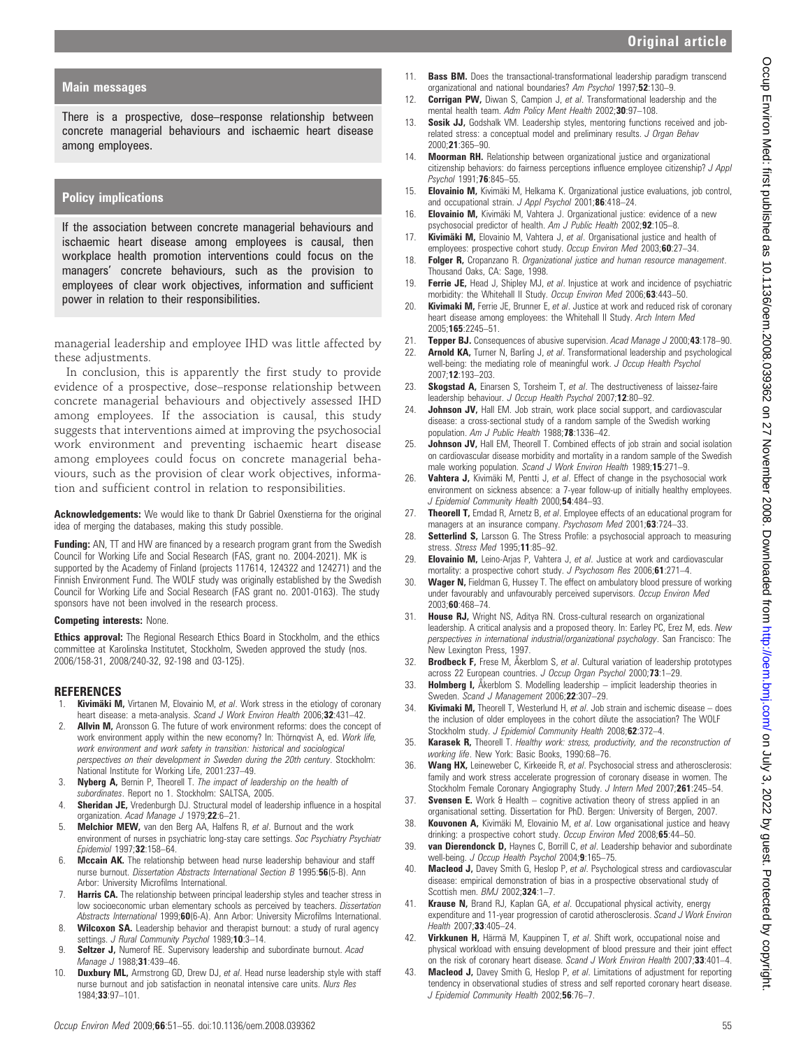# Original article

### Main messages

There is a prospective, dose–response relationship between concrete managerial behaviours and ischaemic heart disease among employees.

### Policy implications

If the association between concrete managerial behaviours and ischaemic heart disease among employees is causal, then workplace health promotion interventions could focus on the managers' concrete behaviours, such as the provision to employees of clear work objectives, information and sufficient power in relation to their responsibilities.

managerial leadership and employee IHD was little affected by these adjustments.

In conclusion, this is apparently the first study to provide evidence of a prospective, dose–response relationship between concrete managerial behaviours and objectively assessed IHD among employees. If the association is causal, this study suggests that interventions aimed at improving the psychosocial work environment and preventing ischaemic heart disease among employees could focus on concrete managerial behaviours, such as the provision of clear work objectives, information and sufficient control in relation to responsibilities.

Acknowledgements: We would like to thank Dr Gabriel Oxenstierna for the original idea of merging the databases, making this study possible.

**Funding:** AN, TT and HW are financed by a research program grant from the Swedish Council for Working Life and Social Research (FAS, grant no. 2004-2021). MK is supported by the Academy of Finland (projects 117614, 124322 and 124271) and the Finnish Environment Fund. The WOLF study was originally established by the Swedish Council for Working Life and Social Research (FAS grant no. 2001-0163). The study sponsors have not been involved in the research process.

#### Competing interests: None.

Ethics approval: The Regional Research Ethics Board in Stockholm, and the ethics committee at Karolinska Institutet, Stockholm, Sweden approved the study (nos. 2006/158-31, 2008/240-32, 92-198 and 03-125).

### REFERENCES

- Kivimäki M, Virtanen M, Elovainio M, et al. Work stress in the etiology of coronary heart disease: a meta-analysis. Scand J Work Environ Health 2006;32:431-42.
- 2. **Allvin M,** Aronsson G. The future of work environment reforms: does the concept of work environment apply within the new economy? In: Thörnqvist A, ed. Work life, work environment and work safety in transition: historical and sociological perspectives on their development in Sweden during the 20th century. Stockholm: National Institute for Working Life, 2001:237–49.
- 3. Nyberg A, Bernin P, Theorell T. The impact of leadership on the health of subordinates. Report no 1. Stockholm: SALTSA, 2005.
- 4. **Sheridan JE,** Vredenburgh DJ. Structural model of leadership influence in a hospital organization. Acad Manage J 1979;22:6-21.
- 5. Melchior MEW, van den Berg AA, Halfens R, et al. Burnout and the work environment of nurses in psychiatric long-stay care settings. Soc Psychiatry Psychiatr Epidemiol 1997;32:158–64.
- 6. **Mccain AK.** The relationship between head nurse leadership behaviour and staff nurse burnout. Dissertation Abstracts International Section B 1995:56(5-B). Ann Arbor: University Microfilms International.
- 7. **Harris CA.** The relationship between principal leadership styles and teacher stress in low socioeconomic urban elementary schools as perceived by teachers. Dissertation Abstracts International 1999;60(6-A). Ann Arbor: University Microfilms International.
- 8. Wilcoxon SA. Leadership behavior and therapist burnout: a study of rural agency settings. J Rural Community Psychol 1989;10:3-14.
- 9. Seltzer J, Numerof RE. Supervisory leadership and subordinate burnout. Acad Manage J 1988;31:439-46.
- 10. **Duxbury ML,** Armstrong GD, Drew DJ, et al. Head nurse leadership style with staff nurse burnout and job satisfaction in neonatal intensive care units. Nurs Res 1984;33:97–101.
- 11. **Bass BM.** Does the transactional-transformational leadership paradigm transcend organizational and national boundaries? Am Psychol 1997;52:130-9.
- 12. **Corrigan PW,** Diwan S, Campion J, et al. Transformational leadership and the mental health team. Adm Policy Ment Health 2002;30:97-108.
- 13. **Sosik JJ,** Godshalk VM. Leadership styles, mentoring functions received and jobrelated stress: a conceptual model and preliminary results. J Organ Behav 2000;21:365–90.
- 14. Moorman RH. Relationship between organizational justice and organizational citizenship behaviors: do fairness perceptions influence employee citizenship? J Appl Psychol 1991;76:845–55.
- 15. Elovainio M, Kivimäki M, Helkama K. Organizational justice evaluations, job control, and occupational strain. J Appl Psychol 2001;86:418-24.
- 16. Elovainio M, Kivimäki M, Vahtera J. Organizational justice: evidence of a new psychosocial predictor of health. Am J Public Health 2002;92:105–8.
- 17. Kivimäki M, Elovainio M, Vahtera J, et al. Organisational justice and health of employees: prospective cohort study. Occup Environ Med 2003;60:27-34.
- 18. Folger R, Cropanzano R. Organizational justice and human resource management. Thousand Oaks, CA: Sage, 1998.
- 19. Ferrie JE, Head J, Shipley MJ, et al. Injustice at work and incidence of psychiatric morbidity: the Whitehall II Study. Occup Environ Med 2006;63:443-50.
- 20. **Kivimaki M,** Ferrie JE, Brunner E, et al. Justice at work and reduced risk of coronary heart disease among employees: the Whitehall II Study. Arch Intern Med 2005;165:2245–51.
- 21. Tepper BJ. Consequences of abusive supervision. Acad Manage J 2000;43:178-90.
- 22. **Arnold KA,** Turner N, Barling J, et al. Transformational leadership and psychological well-being: the mediating role of meaningful work. J Occup Health Psychol 2007;12:193–203.
- 23. Skogstad A, Einarsen S, Torsheim T, et al. The destructiveness of laissez-faire leadership behaviour. J Occup Health Psychol 2007;12:80-92.
- 24. Johnson JV, Hall EM. Job strain, work place social support, and cardiovascular disease: a cross-sectional study of a random sample of the Swedish working population. Am J Public Health 1988;78:1336-42.
- 25. **Johnson JV,** Hall EM, Theorell T. Combined effects of job strain and social isolation on cardiovascular disease morbidity and mortality in a random sample of the Swedish male working population. Scand J Work Environ Health 1989;15:271-9.
- 26. Vahtera J, Kivimäki M, Pentti J, et al. Effect of change in the psychosocial work environment on sickness absence: a 7-year follow-up of initially healthy employees. J Epidemiol Community Health 2000:54:484-93.
- 27. Theorell T, Emdad R, Arnetz B, et al. Employee effects of an educational program for managers at an insurance company. Psychosom Med 2001;63:724-33.
- 28. Setterlind S, Larsson G. The Stress Profile: a psychosocial approach to measuring stress. Stress Med 1995;11:85–92.
- 29. Elovainio M, Leino-Arjas P, Vahtera J, et al. Justice at work and cardiovascular mortality: a prospective cohort study. J Psychosom Res 2006;61:271-4.
- 30. Wager N, Fieldman G, Hussey T. The effect on ambulatory blood pressure of working under favourably and unfavourably perceived supervisors. Occup Environ Med 2003;60:468–74.
- 31. House RJ, Wright NS, Aditya RN. Cross-cultural research on organizational leadership. A critical analysis and a proposed theory. In: Earley PC, Erez M, eds. New perspectives in international industrial/organizational psychology. San Francisco: The New Lexington Press, 1997.
- 32. **Brodbeck F,** Frese M, Åkerblom S, et al. Cultural variation of leadership prototypes across 22 European countries. J Occup Organ Psychol 2000;73:1-29.
- 33. **Holmberg I,** Akerblom S. Modelling leadership implicit leadership theories in Sweden. Scand J Management 2006;22:307-29.
- 34. **Kivimaki M,** Theorell T, Westerlund H, et al. Job strain and ischemic disease  $-$  does the inclusion of older employees in the cohort dilute the association? The WOLF Stockholm study. J Epidemiol Community Health 2008;62:372-4.
- 35. Karasek R, Theorell T. Healthy work: stress, productivity, and the reconstruction of working life. New York: Basic Books, 1990:68–76.
- 36. Wang HX, Leineweber C, Kirkeeide R, et al. Psychosocial stress and atherosclerosis: family and work stress accelerate progression of coronary disease in women. The Stockholm Female Coronary Angiography Study. J Intern Med 2007;261:245–54.
- 37. **Svensen E.** Work & Health cognitive activation theory of stress applied in an organisational setting. Dissertation for PhD. Bergen: University of Bergen, 2007.
- 38. Kouvonen A, Kivimäki M, Elovainio M, et al. Low organisational justice and heavy drinking: a prospective cohort study. Occup Environ Med 2008;65:44-50.
- 39. van Dierendonck D, Haynes C, Borrill C, et al. Leadership behavior and subordinate well-being. J Occup Health Psychol 2004;9:165-75.
- 40. Macleod J, Davey Smith G, Heslop P, et al. Psychological stress and cardiovascular disease: empirical demonstration of bias in a prospective observational study of Scottish men. BMJ 2002:324:1-7.
- 41. Krause N, Brand RJ, Kaplan GA, et al. Occupational physical activity, energy expenditure and 11-year progression of carotid atherosclerosis. Scand J Work Environ Health 2007;33:405-24.
- 42. Virkkunen H, Härmä M, Kauppinen T, et al. Shift work, occupational noise and physical workload with ensuing development of blood pressure and their joint effect on the risk of coronary heart disease. Scand J Work Environ Health 2007;33:401-4.
- 43. Macleod J, Davey Smith G, Heslop P, et al. Limitations of adjustment for reporting tendency in observational studies of stress and self reported coronary heart disease. J Epidemiol Community Health 2002;56:76-7.